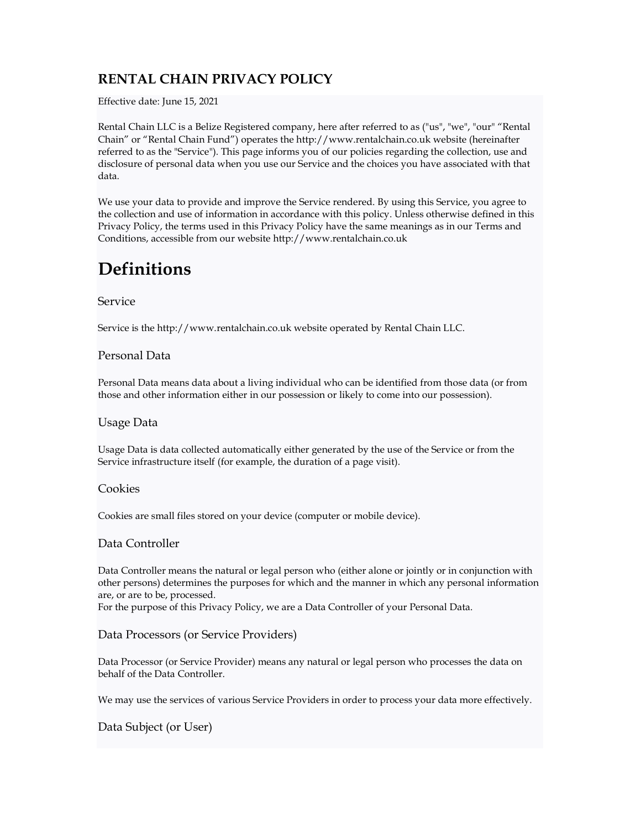## RENTAL CHAIN PRIVACY POLICY

Effective date: June 15, 2021

Rental Chain LLC is a Belize Registered company, here after referred to as ("us", "we", "our" "Rental Chain" or "Rental Chain Fund") operates the http://www.rentalchain.co.uk website (hereinafter referred to as the "Service"). This page informs you of our policies regarding the collection, use and disclosure of personal data when you use our Service and the choices you have associated with that data.

We use your data to provide and improve the Service rendered. By using this Service, you agree to the collection and use of information in accordance with this policy. Unless otherwise defined in this Privacy Policy, the terms used in this Privacy Policy have the same meanings as in our Terms and Conditions, accessible from our website http://www.rentalchain.co.uk

# **Definitions**

## Service

Service is the http://www.rentalchain.co.uk website operated by Rental Chain LLC.

## Personal Data

Personal Data means data about a living individual who can be identified from those data (or from those and other information either in our possession or likely to come into our possession).

### Usage Data

Usage Data is data collected automatically either generated by the use of the Service or from the Service infrastructure itself (for example, the duration of a page visit).

### Cookies

Cookies are small files stored on your device (computer or mobile device).

### Data Controller

Data Controller means the natural or legal person who (either alone or jointly or in conjunction with other persons) determines the purposes for which and the manner in which any personal information are, or are to be, processed.

For the purpose of this Privacy Policy, we are a Data Controller of your Personal Data.

## Data Processors (or Service Providers)

Data Processor (or Service Provider) means any natural or legal person who processes the data on behalf of the Data Controller.

We may use the services of various Service Providers in order to process your data more effectively.

Data Subject (or User)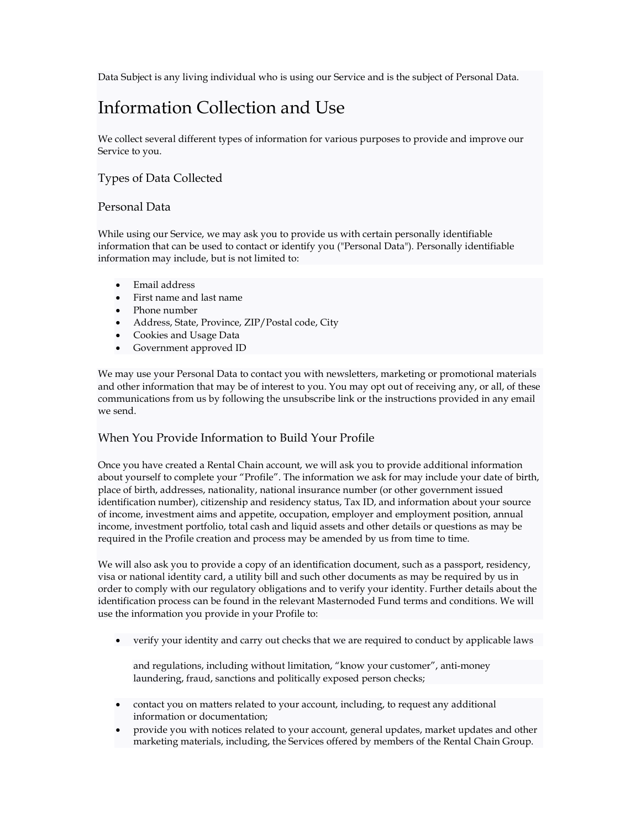Data Subject is any living individual who is using our Service and is the subject of Personal Data.

# Information Collection and Use

We collect several different types of information for various purposes to provide and improve our Service to you.

## Types of Data Collected

#### Personal Data

While using our Service, we may ask you to provide us with certain personally identifiable information that can be used to contact or identify you ("Personal Data"). Personally identifiable information may include, but is not limited to:

- Email address
- First name and last name
- Phone number
- Address, State, Province, ZIP/Postal code, City
- Cookies and Usage Data
- Government approved ID

We may use your Personal Data to contact you with newsletters, marketing or promotional materials and other information that may be of interest to you. You may opt out of receiving any, or all, of these communications from us by following the unsubscribe link or the instructions provided in any email we send.

#### When You Provide Information to Build Your Profile

Once you have created a Rental Chain account, we will ask you to provide additional information about yourself to complete your "Profile". The information we ask for may include your date of birth, place of birth, addresses, nationality, national insurance number (or other government issued identification number), citizenship and residency status, Tax ID, and information about your source of income, investment aims and appetite, occupation, employer and employment position, annual income, investment portfolio, total cash and liquid assets and other details or questions as may be required in the Profile creation and process may be amended by us from time to time.

We will also ask you to provide a copy of an identification document, such as a passport, residency, visa or national identity card, a utility bill and such other documents as may be required by us in order to comply with our regulatory obligations and to verify your identity. Further details about the identification process can be found in the relevant Masternoded Fund terms and conditions. We will use the information you provide in your Profile to:

verify your identity and carry out checks that we are required to conduct by applicable laws

and regulations, including without limitation, "know your customer", anti-money laundering, fraud, sanctions and politically exposed person checks;

- contact you on matters related to your account, including, to request any additional information or documentation;
- provide you with notices related to your account, general updates, market updates and other marketing materials, including, the Services offered by members of the Rental Chain Group.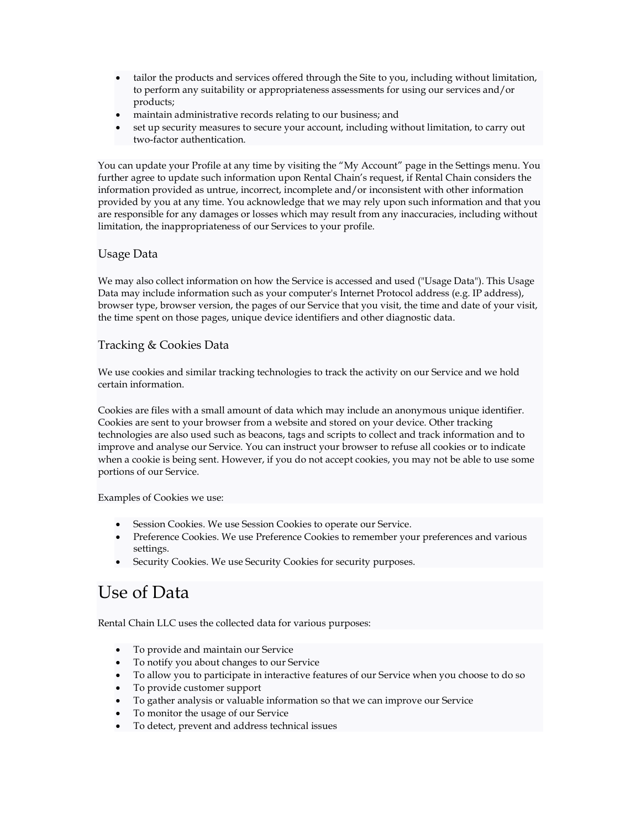- tailor the products and services offered through the Site to you, including without limitation, to perform any suitability or appropriateness assessments for using our services and/or products;
- maintain administrative records relating to our business; and
- set up security measures to secure your account, including without limitation, to carry out two-factor authentication.

You can update your Profile at any time by visiting the "My Account" page in the Settings menu. You further agree to update such information upon Rental Chain's request, if Rental Chain considers the information provided as untrue, incorrect, incomplete and/or inconsistent with other information provided by you at any time. You acknowledge that we may rely upon such information and that you are responsible for any damages or losses which may result from any inaccuracies, including without limitation, the inappropriateness of our Services to your profile.

## Usage Data

We may also collect information on how the Service is accessed and used ("Usage Data"). This Usage Data may include information such as your computer's Internet Protocol address (e.g. IP address), browser type, browser version, the pages of our Service that you visit, the time and date of your visit, the time spent on those pages, unique device identifiers and other diagnostic data.

## Tracking & Cookies Data

We use cookies and similar tracking technologies to track the activity on our Service and we hold certain information.

Cookies are files with a small amount of data which may include an anonymous unique identifier. Cookies are sent to your browser from a website and stored on your device. Other tracking technologies are also used such as beacons, tags and scripts to collect and track information and to improve and analyse our Service. You can instruct your browser to refuse all cookies or to indicate when a cookie is being sent. However, if you do not accept cookies, you may not be able to use some portions of our Service.

#### Examples of Cookies we use:

- Session Cookies. We use Session Cookies to operate our Service.
- Preference Cookies. We use Preference Cookies to remember your preferences and various settings.
- Security Cookies. We use Security Cookies for security purposes.

## Use of Data

Rental Chain LLC uses the collected data for various purposes:

- To provide and maintain our Service
- To notify you about changes to our Service
- To allow you to participate in interactive features of our Service when you choose to do so
- To provide customer support
- To gather analysis or valuable information so that we can improve our Service
- To monitor the usage of our Service
- To detect, prevent and address technical issues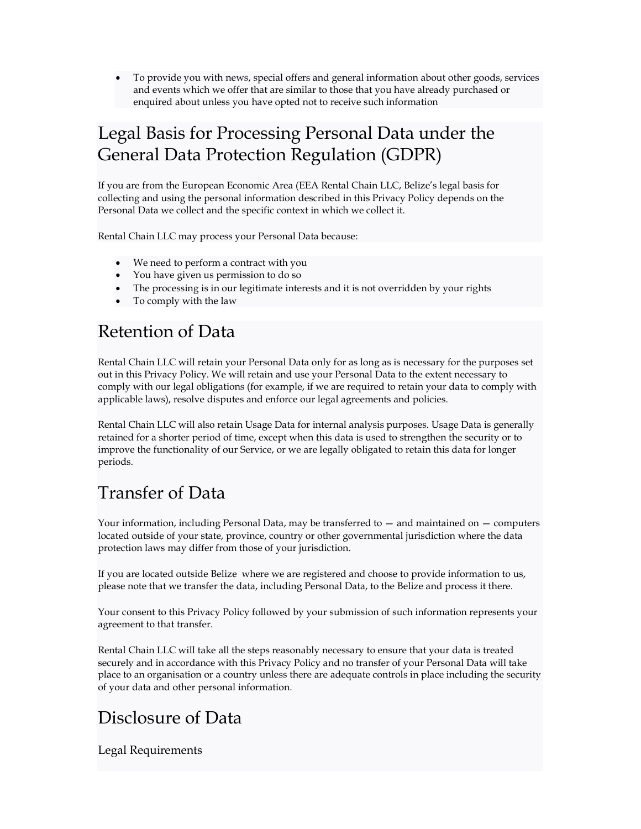To provide you with news, special offers and general information about other goods, services and events which we offer that are similar to those that you have already purchased or enquired about unless you have opted not to receive such information

# Legal Basis for Processing Personal Data under the General Data Protection Regulation (GDPR)

If you are from the European Economic Area (EEA Rental Chain LLC, Belize's legal basis for collecting and using the personal information described in this Privacy Policy depends on the Personal Data we collect and the specific context in which we collect it.

Rental Chain LLC may process your Personal Data because:

- We need to perform a contract with you
- You have given us permission to do so
- The processing is in our legitimate interests and it is not overridden by your rights
- To comply with the law

## Retention of Data

Rental Chain LLC will retain your Personal Data only for as long as is necessary for the purposes set out in this Privacy Policy. We will retain and use your Personal Data to the extent necessary to comply with our legal obligations (for example, if we are required to retain your data to comply with applicable laws), resolve disputes and enforce our legal agreements and policies.

Rental Chain LLC will also retain Usage Data for internal analysis purposes. Usage Data is generally retained for a shorter period of time, except when this data is used to strengthen the security or to improve the functionality of our Service, or we are legally obligated to retain this data for longer periods.

# Transfer of Data

Your information, including Personal Data, may be transferred to — and maintained on — computers located outside of your state, province, country or other governmental jurisdiction where the data protection laws may differ from those of your jurisdiction.

If you are located outside Belize where we are registered and choose to provide information to us, please note that we transfer the data, including Personal Data, to the Belize and process it there.

Your consent to this Privacy Policy followed by your submission of such information represents your agreement to that transfer.

Rental Chain LLC will take all the steps reasonably necessary to ensure that your data is treated securely and in accordance with this Privacy Policy and no transfer of your Personal Data will take place to an organisation or a country unless there are adequate controls in place including the security of your data and other personal information.

# Disclosure of Data

Legal Requirements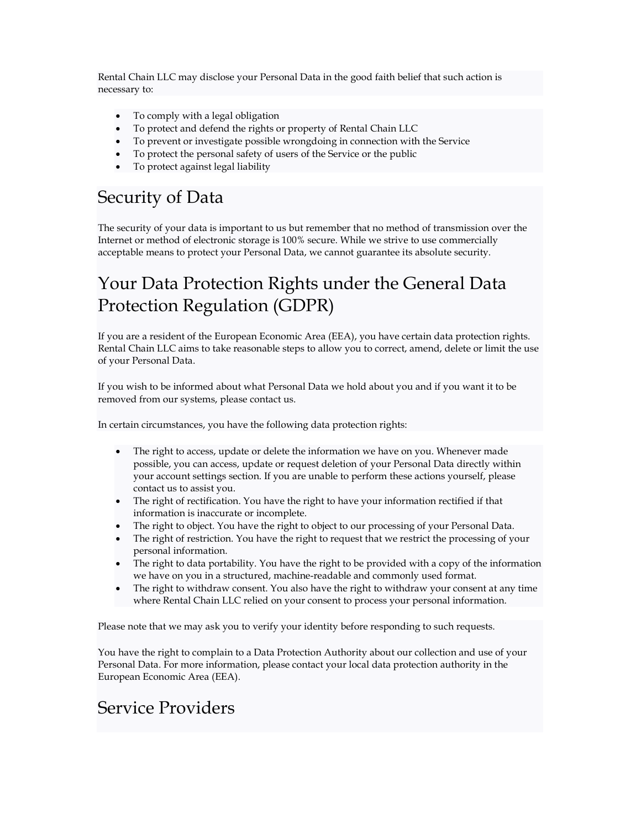Rental Chain LLC may disclose your Personal Data in the good faith belief that such action is necessary to:

- To comply with a legal obligation
- To protect and defend the rights or property of Rental Chain LLC
- To prevent or investigate possible wrongdoing in connection with the Service
- To protect the personal safety of users of the Service or the public
- To protect against legal liability

## Security of Data

The security of your data is important to us but remember that no method of transmission over the Internet or method of electronic storage is 100% secure. While we strive to use commercially acceptable means to protect your Personal Data, we cannot guarantee its absolute security.

# Your Data Protection Rights under the General Data Protection Regulation (GDPR)

If you are a resident of the European Economic Area (EEA), you have certain data protection rights. Rental Chain LLC aims to take reasonable steps to allow you to correct, amend, delete or limit the use of your Personal Data.

If you wish to be informed about what Personal Data we hold about you and if you want it to be removed from our systems, please contact us.

In certain circumstances, you have the following data protection rights:

- The right to access, update or delete the information we have on you. Whenever made possible, you can access, update or request deletion of your Personal Data directly within your account settings section. If you are unable to perform these actions yourself, please contact us to assist you.
- The right of rectification. You have the right to have your information rectified if that information is inaccurate or incomplete.
- The right to object. You have the right to object to our processing of your Personal Data.
- The right of restriction. You have the right to request that we restrict the processing of your personal information.
- The right to data portability. You have the right to be provided with a copy of the information we have on you in a structured, machine-readable and commonly used format.
- The right to withdraw consent. You also have the right to withdraw your consent at any time where Rental Chain LLC relied on your consent to process your personal information.

Please note that we may ask you to verify your identity before responding to such requests.

You have the right to complain to a Data Protection Authority about our collection and use of your Personal Data. For more information, please contact your local data protection authority in the European Economic Area (EEA).

## Service Providers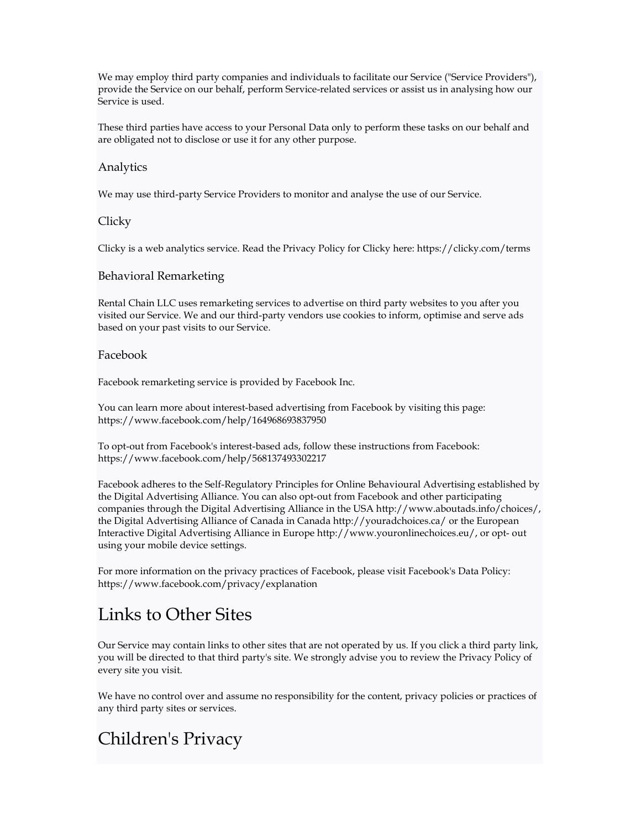We may employ third party companies and individuals to facilitate our Service ("Service Providers"), provide the Service on our behalf, perform Service-related services or assist us in analysing how our Service is used.

These third parties have access to your Personal Data only to perform these tasks on our behalf and are obligated not to disclose or use it for any other purpose.

### Analytics

We may use third-party Service Providers to monitor and analyse the use of our Service.

## Clicky

Clicky is a web analytics service. Read the Privacy Policy for Clicky here: https://clicky.com/terms

### Behavioral Remarketing

Rental Chain LLC uses remarketing services to advertise on third party websites to you after you visited our Service. We and our third-party vendors use cookies to inform, optimise and serve ads based on your past visits to our Service.

## Facebook

Facebook remarketing service is provided by Facebook Inc.

You can learn more about interest-based advertising from Facebook by visiting this page: https://www.facebook.com/help/164968693837950

To opt-out from Facebook's interest-based ads, follow these instructions from Facebook: https://www.facebook.com/help/568137493302217

Facebook adheres to the Self-Regulatory Principles for Online Behavioural Advertising established by the Digital Advertising Alliance. You can also opt-out from Facebook and other participating companies through the Digital Advertising Alliance in the USA http://www.aboutads.info/choices/, the Digital Advertising Alliance of Canada in Canada http://youradchoices.ca/ or the European Interactive Digital Advertising Alliance in Europe http://www.youronlinechoices.eu/, or opt- out using your mobile device settings.

For more information on the privacy practices of Facebook, please visit Facebook's Data Policy: https://www.facebook.com/privacy/explanation

# Links to Other Sites

Our Service may contain links to other sites that are not operated by us. If you click a third party link, you will be directed to that third party's site. We strongly advise you to review the Privacy Policy of every site you visit.

We have no control over and assume no responsibility for the content, privacy policies or practices of any third party sites or services.

# Children's Privacy